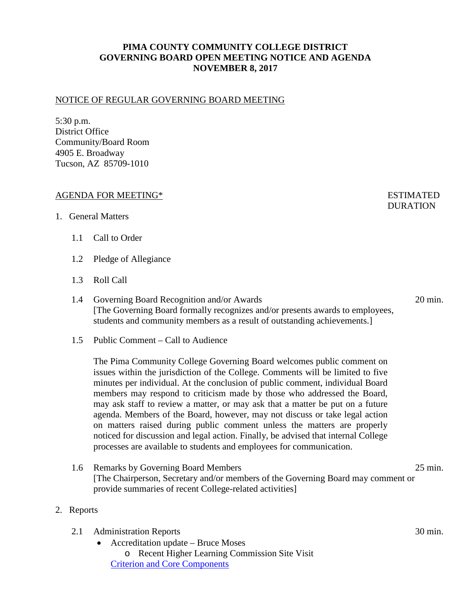# **PIMA COUNTY COMMUNITY COLLEGE DISTRICT GOVERNING BOARD OPEN MEETING NOTICE AND AGENDA NOVEMBER 8, 2017**

## NOTICE OF REGULAR GOVERNING BOARD MEETING

5:30 p.m. District Office Community/Board Room 4905 E. Broadway Tucson, AZ 85709-1010

## AGENDA FOR MEETING\* FOR ESTIMATED

#### 1. General Matters

## 1.1 Call to Order

- 1.2 Pledge of Allegiance
- 1.3 Roll Call
- 1.4 Governing Board Recognition and/or Awards 20 min. [The Governing Board formally recognizes and/or presents awards to employees, students and community members as a result of outstanding achievements.]
- 1.5 Public Comment Call to Audience

The Pima Community College Governing Board welcomes public comment on issues within the jurisdiction of the College. Comments will be limited to five minutes per individual. At the conclusion of public comment, individual Board members may respond to criticism made by those who addressed the Board, may ask staff to review a matter, or may ask that a matter be put on a future agenda. Members of the Board, however, may not discuss or take legal action on matters raised during public comment unless the matters are properly noticed for discussion and legal action. Finally, be advised that internal College processes are available to students and employees for communication.

- 1.6 Remarks by Governing Board Members 25 min. [The Chairperson, Secretary and/or members of the Governing Board may comment or provide summaries of recent College-related activities]
- 2. Reports
	- 2.1 Administration Reports 30 min.
		- Accreditation update Bruce Moses o Recent Higher Learning Commission Site Visit [Criterion and Core Components](https://docs.google.com/spreadsheets/d/1v6ssoGKq1vsM2-UJWOlLsdPQ09xVS20ARvQOFEhst0k/edit?usp=sharing)

# **DURATION**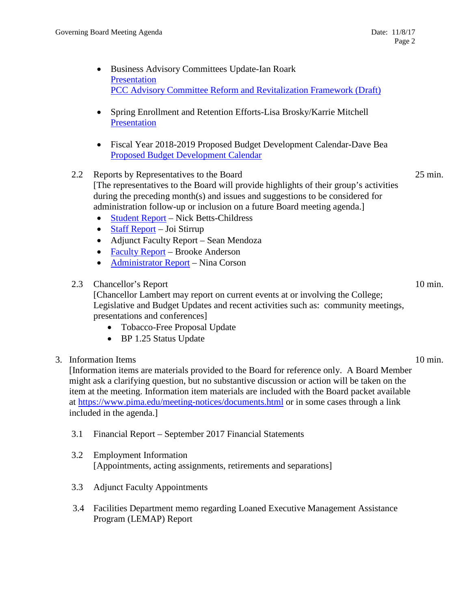- Business Advisory Committees Update-Ian Roark [Presentation](https://www.pima.edu/meeting-notices-support/2017-docs/201711-08-business.pdf) [PCC Advisory Committee Reform and Revitalization Framework \(Draft\)](https://www.pima.edu/meeting-notices-support/2017-docs/201711-08-advisory.pdf)
- Spring Enrollment and Retention Efforts-Lisa Brosky/Karrie Mitchell **[Presentation](https://www.pima.edu/meeting-notices-support/2017-docs/201711-08-enrollment.pdf)**
- Fiscal Year 2018-2019 Proposed Budget Development Calendar-Dave Bea [Proposed Budget Development Calendar](https://www.pima.edu/meeting-notices-support/2017-docs/201711-08-calendar.pdf)

# 2.2 Reports by Representatives to the Board 25 min. [The representatives to the Board will provide highlights of their group's activities during the preceding month(s) and issues and suggestions to be considered for administration follow-up or inclusion on a future Board meeting agenda.]

- [Student Report](https://www.pima.edu/meeting-notices-support/2017-docs/201711-08-student-life.pdf) Nick Betts-Childress
- [Staff Report](https://www.pima.edu/meeting-notices-support/2017-docs/201711-08-staff-council.pdf) Joi Stirrup
- Adjunct Faculty Report Sean Mendoza
- [Faculty Report](https://www.pima.edu/meeting-notices-support/2017-docs/201711-08-faculty.pdf) Brooke Anderson
- [Administrator Report](https://www.pima.edu/meeting-notices-support/2017-docs/201711-08-admin.pdf) Nina Corson

## 2.3 Chancellor's Report 10 min.

[Chancellor Lambert may report on current events at or involving the College; Legislative and Budget Updates and recent activities such as: community meetings, presentations and conferences]

- Tobacco-Free Proposal Update
- BP 1.25 Status Update

## 3. Information Items 10 min.

[Information items are materials provided to the Board for reference only. A Board Member might ask a clarifying question, but no substantive discussion or action will be taken on the item at the meeting. Information item materials are included with the Board packet available at <https://www.pima.edu/meeting-notices/documents.html> or in some cases through a link included in the agenda.]

- 3.1 Financial Report September 2017 Financial Statements
- 3.2 Employment Information [Appointments, acting assignments, retirements and separations]
- 3.3 Adjunct Faculty Appointments
- 3.4 Facilities Department memo regarding Loaned Executive Management Assistance Program (LEMAP) Report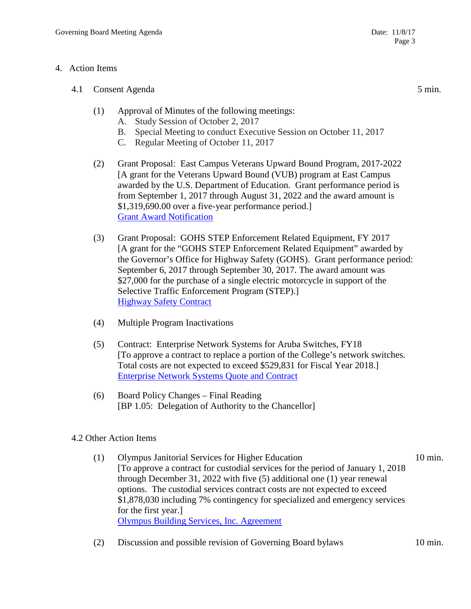## 4. Action Items

- 4.1 Consent Agenda 5 min.
	- (1) Approval of Minutes of the following meetings:
		- A. Study Session of October 2, 2017
		- B. Special Meeting to conduct Executive Session on October 11, 2017
		- C. Regular Meeting of October 11, 2017
	- (2) Grant Proposal: East Campus Veterans Upward Bound Program, 2017-2022 [A grant for the Veterans Upward Bound (VUB) program at East Campus awarded by the U.S. Department of Education. Grant performance period is from September 1, 2017 through August 31, 2022 and the award amount is \$1,319,690.00 over a five-year performance period.] [Grant Award Notification](https://pima.edu/meeting-notices-support/2017-docs/201711-08-ec-veterans-upward-bound-grant.pdf)
	- (3) Grant Proposal: GOHS STEP Enforcement Related Equipment, FY 2017 [A grant for the "GOHS STEP Enforcement Related Equipment" awarded by the Governor's Office for Highway Safety (GOHS). Grant performance period: September 6, 2017 through September 30, 2017. The award amount was \$27,000 for the purchase of a single electric motorcycle in support of the Selective Traffic Enforcement Program (STEP).] [Highway Safety Contract](https://pima.edu/meeting-notices-support/2017-docs/201711-08-gohs-grant.pdf)
	- (4) Multiple Program Inactivations
	- (5) Contract: Enterprise Network Systems for Aruba Switches, FY18 [To approve a contract to replace a portion of the College's network switches. Total costs are not expected to exceed \$529,831 for Fiscal Year 2018.] [Enterprise Network Systems Quote and Contract](https://pima.edu/meeting-notices-support/2017-docs/201711-08-enterprise-network-solutions-quote-contract.pdf)
	- (6) Board Policy Changes Final Reading [BP 1.05: Delegation of Authority to the Chancellor]

# 4.2 Other Action Items

- (1) Olympus Janitorial Services for Higher Education 10 min. [To approve a contract for custodial services for the period of January 1, 2018 through December 31, 2022 with five (5) additional one (1) year renewal options. The custodial services contract costs are not expected to exceed \$1,878,030 including 7% contingency for specialized and emergency services for the first year.] [Olympus Building Services, Inc. Agreement](https://pima.edu/meeting-notices-support/2017-docs/201711-08-custodial-olympus-agreement.pdf)
- (2) Discussion and possible revision of Governing Board bylaws 10 min.